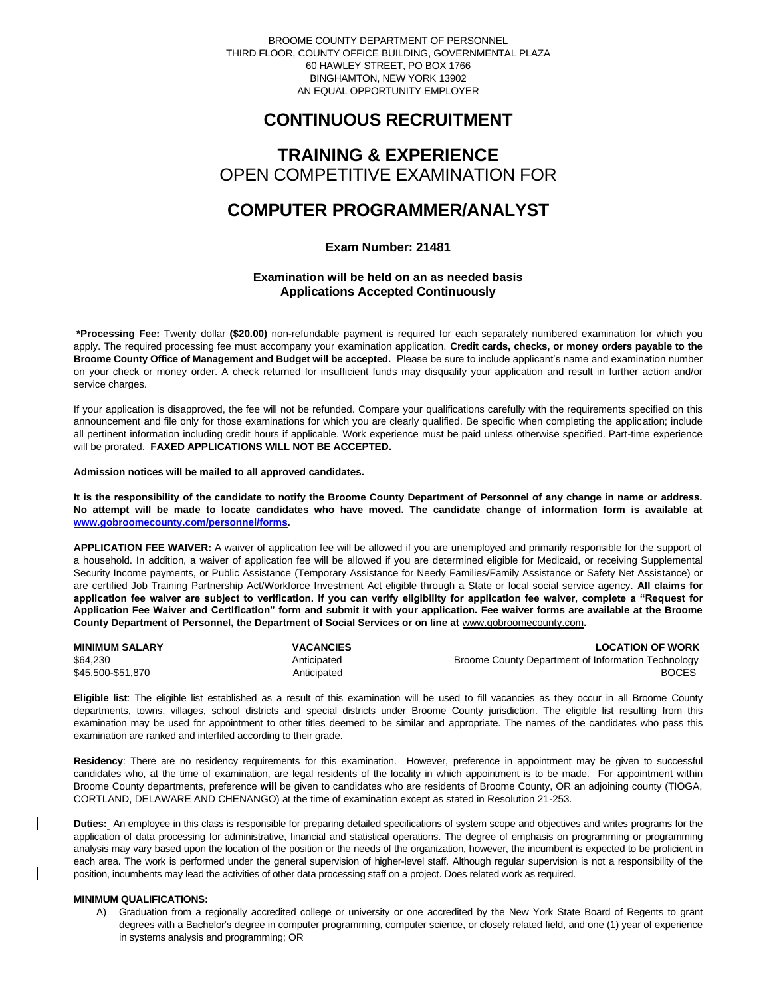BROOME COUNTY DEPARTMENT OF PERSONNEL THIRD FLOOR, COUNTY OFFICE BUILDING, GOVERNMENTAL PLAZA 60 HAWLEY STREET, PO BOX 1766 BINGHAMTON, NEW YORK 13902 AN EQUAL OPPORTUNITY EMPLOYER

### **CONTINUOUS RECRUITMENT**

# **TRAINING & EXPERIENCE** OPEN COMPETITIVE EXAMINATION FOR

## **COMPUTER PROGRAMMER/ANALYST**

**Exam Number: 21481**

### **Examination will be held on an as needed basis Applications Accepted Continuously**

**\*Processing Fee:** Twenty dollar **(\$20.00)** non-refundable payment is required for each separately numbered examination for which you apply. The required processing fee must accompany your examination application. **Credit cards, checks, or money orders payable to the Broome County Office of Management and Budget will be accepted.** Please be sure to include applicant's name and examination number on your check or money order. A check returned for insufficient funds may disqualify your application and result in further action and/or service charges.

If your application is disapproved, the fee will not be refunded. Compare your qualifications carefully with the requirements specified on this announcement and file only for those examinations for which you are clearly qualified. Be specific when completing the application; include all pertinent information including credit hours if applicable. Work experience must be paid unless otherwise specified. Part-time experience will be prorated. **FAXED APPLICATIONS WILL NOT BE ACCEPTED.** 

#### **Admission notices will be mailed to all approved candidates.**

**It is the responsibility of the candidate to notify the Broome County Department of Personnel of any change in name or address. No attempt will be made to locate candidates who have moved. The candidate change of information form is available at [www.gobroomecounty.com/personnel/forms.](http://www.gobroomecounty.com/personnel/forms)** 

**APPLICATION FEE WAIVER:** A waiver of application fee will be allowed if you are unemployed and primarily responsible for the support of a household. In addition, a waiver of application fee will be allowed if you are determined eligible for Medicaid, or receiving Supplemental Security Income payments, or Public Assistance (Temporary Assistance for Needy Families/Family Assistance or Safety Net Assistance) or are certified Job Training Partnership Act/Workforce Investment Act eligible through a State or local social service agency. **All claims for application fee waiver are subject to verification. If you can verify eligibility for application fee waiver, complete a "Request for Application Fee Waiver and Certification" form and submit it with your application. Fee waiver forms are available at the Broome**  County Department of Personnel, the Department of Social Services or on line at **www.gobroomecounty.com**.

| <b>MINIMUM SALARY</b> | <b>VACANCIES</b> | <b>LOCATION OF WORK</b>                            |
|-----------------------|------------------|----------------------------------------------------|
| \$64,230              | Anticipated      | Broome County Department of Information Technology |
| \$45,500-\$51,870     | Anticipated      | <b>BOCES</b>                                       |

**Eligible list**: The eligible list established as a result of this examination will be used to fill vacancies as they occur in all Broome County departments, towns, villages, school districts and special districts under Broome County jurisdiction. The eligible list resulting from this examination may be used for appointment to other titles deemed to be similar and appropriate. The names of the candidates who pass this examination are ranked and interfiled according to their grade.

**Residency**: There are no residency requirements for this examination. However, preference in appointment may be given to successful candidates who, at the time of examination, are legal residents of the locality in which appointment is to be made. For appointment within Broome County departments, preference **will** be given to candidates who are residents of Broome County, OR an adjoining county (TIOGA, CORTLAND, DELAWARE AND CHENANGO) at the time of examination except as stated in Resolution 21-253.

**Duties:** An employee in this class is responsible for preparing detailed specifications of system scope and objectives and writes programs for the application of data processing for administrative, financial and statistical operations. The degree of emphasis on programming or programming analysis may vary based upon the location of the position or the needs of the organization, however, the incumbent is expected to be proficient in each area. The work is performed under the general supervision of higher-level staff. Although regular supervision is not a responsibility of the position, incumbents may lead the activities of other data processing staff on a project. Does related work as required.

### **MINIMUM QUALIFICATIONS:**

A) Graduation from a regionally accredited college or university or one accredited by the New York State Board of Regents to grant degrees with a Bachelor's degree in computer programming, computer science, or closely related field, and one (1) year of experience in systems analysis and programming; OR